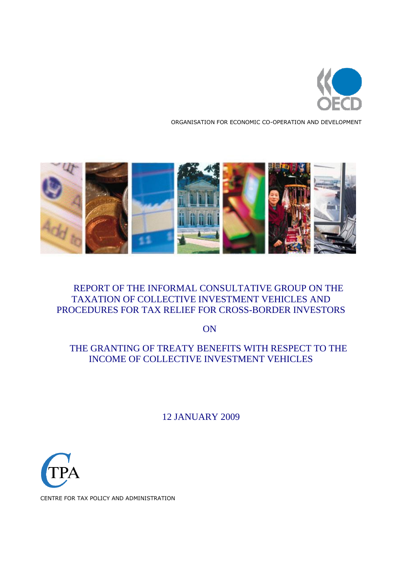

ORGANISATION FOR ECONOMIC CO-OPERATION AND DEVELOPMENT



# REPORT OF THE INFORMAL CONSULTATIVE GROUP ON THE TAXATION OF COLLECTIVE INVESTMENT VEHICLES AND PROCEDURES FOR TAX RELIEF FOR CROSS-BORDER INVESTORS

ON

# THE GRANTING OF TREATY BENEFITS WITH RESPECT TO THE INCOME OF COLLECTIVE INVESTMENT VEHICLES

12 JANUARY 2009



CENTRE FOR TAX POLICY AND ADMINISTRATION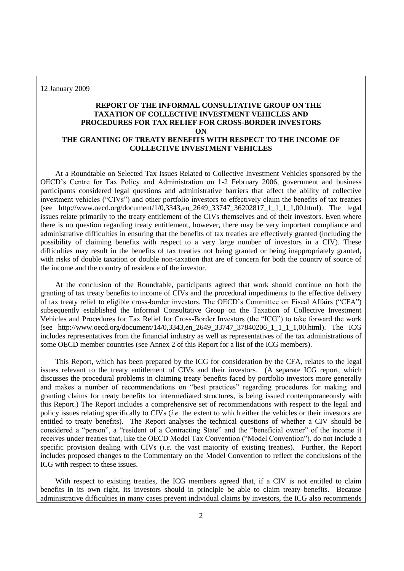12 January 2009

### **REPORT OF THE INFORMAL CONSULTATIVE GROUP ON THE TAXATION OF COLLECTIVE INVESTMENT VEHICLES AND PROCEDURES FOR TAX RELIEF FOR CROSS-BORDER INVESTORS ON**

# **THE GRANTING OF TREATY BENEFITS WITH RESPECT TO THE INCOME OF COLLECTIVE INVESTMENT VEHICLES**

At a Roundtable on Selected Tax Issues Related to Collective Investment Vehicles sponsored by the OECD"s Centre for Tax Policy and Administration on 1-2 February 2006, government and business participants considered legal questions and administrative barriers that affect the ability of collective investment vehicles ("CIVs") and other portfolio investors to effectively claim the benefits of tax treaties (see http://www.oecd.org/document/1/0,3343,en\_2649\_33747\_36202817\_1\_1\_1\_1,00.html). The legal issues relate primarily to the treaty entitlement of the CIVs themselves and of their investors. Even where there is no question regarding treaty entitlement, however, there may be very important compliance and administrative difficulties in ensuring that the benefits of tax treaties are effectively granted (including the possibility of claiming benefits with respect to a very large number of investors in a CIV). These difficulties may result in the benefits of tax treaties not being granted or being inappropriately granted, with risks of double taxation or double non-taxation that are of concern for both the country of source of the income and the country of residence of the investor.

At the conclusion of the Roundtable, participants agreed that work should continue on both the granting of tax treaty benefits to income of CIVs and the procedural impediments to the effective delivery of tax treaty relief to eligible cross-border investors. The OECD"s Committee on Fiscal Affairs ("CFA") subsequently established the Informal Consultative Group on the Taxation of Collective Investment Vehicles and Procedures for Tax Relief for Cross-Border Investors (the "ICG") to take forward the work (see http://www.oecd.org/document/14/0,3343,en\_2649\_33747\_37840206\_1\_1\_1\_1,00.html). The ICG includes representatives from the financial industry as well as representatives of the tax administrations of some OECD member countries (see Annex 2 of this Report for a list of the ICG members).

This Report, which has been prepared by the ICG for consideration by the CFA, relates to the legal issues relevant to the treaty entitlement of CIVs and their investors. (A separate ICG report, which discusses the procedural problems in claiming treaty benefits faced by portfolio investors more generally and makes a number of recommendations on "best practices" regarding procedures for making and granting claims for treaty benefits for intermediated structures, is being issued contemporaneously with this Report.) The Report includes a comprehensive set of recommendations with respect to the legal and policy issues relating specifically to CIVs (*i.e.* the extent to which either the vehicles or their investors are entitled to treaty benefits). The Report analyses the technical questions of whether a CIV should be considered a "person", a "resident of a Contracting State" and the "beneficial owner" of the income it receives under treaties that, like the OECD Model Tax Convention ("Model Convention"), do not include a specific provision dealing with CIVs (*i.e.* the vast majority of existing treaties). Further, the Report includes proposed changes to the Commentary on the Model Convention to reflect the conclusions of the ICG with respect to these issues.

With respect to existing treaties, the ICG members agreed that, if a CIV is not entitled to claim benefits in its own right, its investors should in principle be able to claim treaty benefits. Because administrative difficulties in many cases prevent individual claims by investors, the ICG also recommends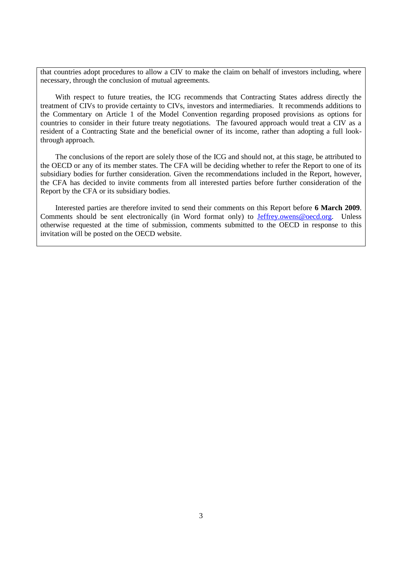that countries adopt procedures to allow a CIV to make the claim on behalf of investors including, where necessary, through the conclusion of mutual agreements.

With respect to future treaties, the ICG recommends that Contracting States address directly the treatment of CIVs to provide certainty to CIVs, investors and intermediaries. It recommends additions to the Commentary on Article 1 of the Model Convention regarding proposed provisions as options for countries to consider in their future treaty negotiations. The favoured approach would treat a CIV as a resident of a Contracting State and the beneficial owner of its income, rather than adopting a full lookthrough approach.

The conclusions of the report are solely those of the ICG and should not, at this stage, be attributed to the OECD or any of its member states. The CFA will be deciding whether to refer the Report to one of its subsidiary bodies for further consideration. Given the recommendations included in the Report, however, the CFA has decided to invite comments from all interested parties before further consideration of the Report by the CFA or its subsidiary bodies.

Interested parties are therefore invited to send their comments on this Report before **6 March 2009**. Comments should be sent electronically (in Word format only) to [Jeffrey.owens@oecd.org.](mailto:Jeffrey.owens@oecd.org) Unless otherwise requested at the time of submission, comments submitted to the OECD in response to this invitation will be posted on the OECD website.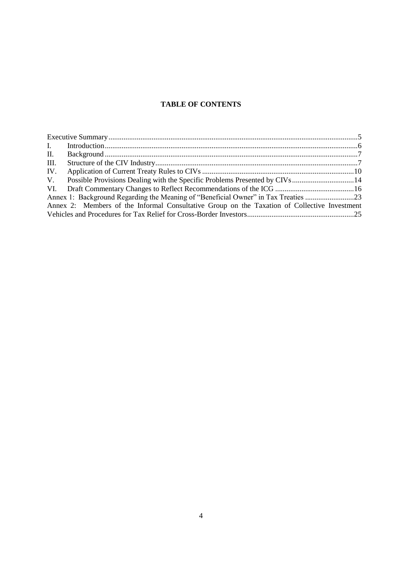# **TABLE OF CONTENTS**

| III. |                                                                                              |  |  |  |
|------|----------------------------------------------------------------------------------------------|--|--|--|
| IV.  |                                                                                              |  |  |  |
|      | V. Possible Provisions Dealing with the Specific Problems Presented by CIVs14                |  |  |  |
|      |                                                                                              |  |  |  |
|      | Annex 1: Background Regarding the Meaning of "Beneficial Owner" in Tax Treaties 23           |  |  |  |
|      | Annex 2: Members of the Informal Consultative Group on the Taxation of Collective Investment |  |  |  |
|      |                                                                                              |  |  |  |
|      |                                                                                              |  |  |  |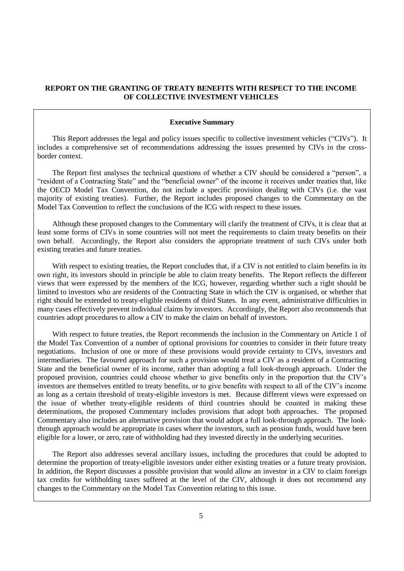# **REPORT ON THE GRANTING OF TREATY BENEFITS WITH RESPECT TO THE INCOME OF COLLECTIVE INVESTMENT VEHICLES**

#### **Executive Summary**

This Report addresses the legal and policy issues specific to collective investment vehicles ("CIVs"). It includes a comprehensive set of recommendations addressing the issues presented by CIVs in the crossborder context.

The Report first analyses the technical questions of whether a CIV should be considered a "person", a "resident of a Contracting State" and the "beneficial owner" of the income it receives under treaties that, like the OECD Model Tax Convention, do not include a specific provision dealing with CIVs (i.e. the vast majority of existing treaties). Further, the Report includes proposed changes to the Commentary on the Model Tax Convention to reflect the conclusions of the ICG with respect to these issues.

Although these proposed changes to the Commentary will clarify the treatment of CIVs, it is clear that at least some forms of CIVs in some countries will not meet the requirements to claim treaty benefits on their own behalf. Accordingly, the Report also considers the appropriate treatment of such CIVs under both existing treaties and future treaties.

With respect to existing treaties, the Report concludes that, if a CIV is not entitled to claim benefits in its own right, its investors should in principle be able to claim treaty benefits. The Report reflects the different views that were expressed by the members of the ICG, however, regarding whether such a right should be limited to investors who are residents of the Contracting State in which the CIV is organised, or whether that right should be extended to treaty-eligible residents of third States. In any event, administrative difficulties in many cases effectively prevent individual claims by investors. Accordingly, the Report also recommends that countries adopt procedures to allow a CIV to make the claim on behalf of investors.

With respect to future treaties, the Report recommends the inclusion in the Commentary on Article 1 of the Model Tax Convention of a number of optional provisions for countries to consider in their future treaty negotiations. Inclusion of one or more of these provisions would provide certainty to CIVs, investors and intermediaries. The favoured approach for such a provision would treat a CIV as a resident of a Contracting State and the beneficial owner of its income, rather than adopting a full look-through approach. Under the proposed provision, countries could choose whether to give benefits only in the proportion that the CIV"s investors are themselves entitled to treaty benefits, or to give benefits with respect to all of the CIV"s income as long as a certain threshold of treaty-eligible investors is met. Because different views were expressed on the issue of whether treaty-eligible residents of third countries should be counted in making these determinations, the proposed Commentary includes provisions that adopt both approaches. The proposed Commentary also includes an alternative provision that would adopt a full look-through approach. The lookthrough approach would be appropriate in cases where the investors, such as pension funds, would have been eligible for a lower, or zero, rate of withholding had they invested directly in the underlying securities.

The Report also addresses several ancillary issues, including the procedures that could be adopted to determine the proportion of treaty-eligible investors under either existing treaties or a future treaty provision. In addition, the Report discusses a possible provision that would allow an investor in a CIV to claim foreign tax credits for withholding taxes suffered at the level of the CIV, although it does not recommend any changes to the Commentary on the Model Tax Convention relating to this issue.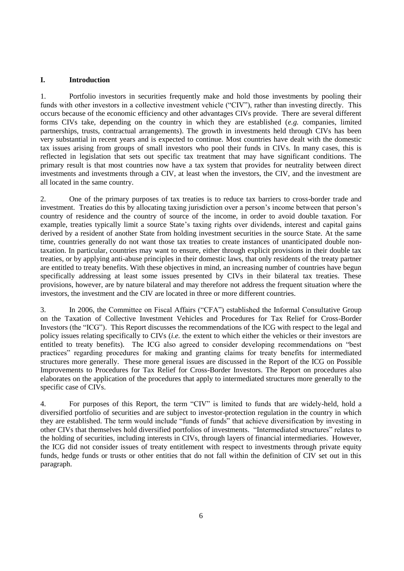# **I. Introduction**

1. Portfolio investors in securities frequently make and hold those investments by pooling their funds with other investors in a collective investment vehicle ("CIV"), rather than investing directly. This occurs because of the economic efficiency and other advantages CIVs provide. There are several different forms CIVs take, depending on the country in which they are established (*e.g.* companies, limited partnerships, trusts, contractual arrangements). The growth in investments held through CIVs has been very substantial in recent years and is expected to continue. Most countries have dealt with the domestic tax issues arising from groups of small investors who pool their funds in CIVs. In many cases, this is reflected in legislation that sets out specific tax treatment that may have significant conditions. The primary result is that most countries now have a tax system that provides for neutrality between direct investments and investments through a CIV, at least when the investors, the CIV, and the investment are all located in the same country.

2. One of the primary purposes of tax treaties is to reduce tax barriers to cross-border trade and investment. Treaties do this by allocating taxing jurisdiction over a person"s income between that person"s country of residence and the country of source of the income, in order to avoid double taxation. For example, treaties typically limit a source State"s taxing rights over dividends, interest and capital gains derived by a resident of another State from holding investment securities in the source State. At the same time, countries generally do not want those tax treaties to create instances of unanticipated double nontaxation. In particular, countries may want to ensure, either through explicit provisions in their double tax treaties, or by applying anti-abuse principles in their domestic laws, that only residents of the treaty partner are entitled to treaty benefits. With these objectives in mind, an increasing number of countries have begun specifically addressing at least some issues presented by CIVs in their bilateral tax treaties. These provisions, however, are by nature bilateral and may therefore not address the frequent situation where the investors, the investment and the CIV are located in three or more different countries.

3. In 2006, the Committee on Fiscal Affairs ("CFA") established the Informal Consultative Group on the Taxation of Collective Investment Vehicles and Procedures for Tax Relief for Cross-Border Investors (the "ICG"). This Report discusses the recommendations of the ICG with respect to the legal and policy issues relating specifically to CIVs (*i.e.* the extent to which either the vehicles or their investors are entitled to treaty benefits). The ICG also agreed to consider developing recommendations on "best practices" regarding procedures for making and granting claims for treaty benefits for intermediated structures more generally. These more general issues are discussed in the Report of the ICG on Possible Improvements to Procedures for Tax Relief for Cross-Border Investors. The Report on procedures also elaborates on the application of the procedures that apply to intermediated structures more generally to the specific case of CIVs.

4. For purposes of this Report, the term "CIV" is limited to funds that are widely-held, hold a diversified portfolio of securities and are subject to investor-protection regulation in the country in which they are established. The term would include "funds of funds" that achieve diversification by investing in other CIVs that themselves hold diversified portfolios of investments. "Intermediated structures" relates to the holding of securities, including interests in CIVs, through layers of financial intermediaries. However, the ICG did not consider issues of treaty entitlement with respect to investments through private equity funds, hedge funds or trusts or other entities that do not fall within the definition of CIV set out in this paragraph.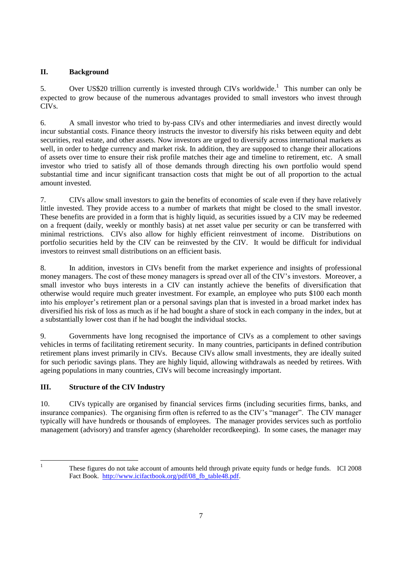# **II. Background**

5. Over US\$20 trillion currently is invested through CIVs worldwide.<sup>1</sup> This number can only be expected to grow because of the numerous advantages provided to small investors who invest through CIVs.

6. A small investor who tried to by-pass CIVs and other intermediaries and invest directly would incur substantial costs. Finance theory instructs the investor to diversify his risks between equity and debt securities, real estate, and other assets. Now investors are urged to diversify across international markets as well, in order to hedge currency and market risk. In addition, they are supposed to change their allocations of assets over time to ensure their risk profile matches their age and timeline to retirement, etc. A small investor who tried to satisfy all of those demands through directing his own portfolio would spend substantial time and incur significant transaction costs that might be out of all proportion to the actual amount invested.

7. CIVs allow small investors to gain the benefits of economies of scale even if they have relatively little invested. They provide access to a number of markets that might be closed to the small investor. These benefits are provided in a form that is highly liquid, as securities issued by a CIV may be redeemed on a frequent (daily, weekly or monthly basis) at net asset value per security or can be transferred with minimal restrictions. CIVs also allow for highly efficient reinvestment of income. Distributions on portfolio securities held by the CIV can be reinvested by the CIV. It would be difficult for individual investors to reinvest small distributions on an efficient basis.

8. In addition, investors in CIVs benefit from the market experience and insights of professional money managers. The cost of these money managers is spread over all of the CIV"s investors. Moreover, a small investor who buys interests in a CIV can instantly achieve the benefits of diversification that otherwise would require much greater investment. For example, an employee who puts \$100 each month into his employer"s retirement plan or a personal savings plan that is invested in a broad market index has diversified his risk of loss as much as if he had bought a share of stock in each company in the index, but at a substantially lower cost than if he had bought the individual stocks.

9. Governments have long recognised the importance of CIVs as a complement to other savings vehicles in terms of facilitating retirement security. In many countries, participants in defined contribution retirement plans invest primarily in CIVs. Because CIVs allow small investments, they are ideally suited for such periodic savings plans. They are highly liquid, allowing withdrawals as needed by retirees. With ageing populations in many countries, CIVs will become increasingly important.

# **III. Structure of the CIV Industry**

10. CIVs typically are organised by financial services firms (including securities firms, banks, and insurance companies). The organising firm often is referred to as the CIV"s "manager". The CIV manager typically will have hundreds or thousands of employees. The manager provides services such as portfolio management (advisory) and transfer agency (shareholder recordkeeping). In some cases, the manager may

 $\frac{1}{1}$ 

These figures do not take account of amounts held through private equity funds or hedge funds. ICI 2008 Fact Book. http://www.icifactbook.org/pdf/08 fb\_table48.pdf.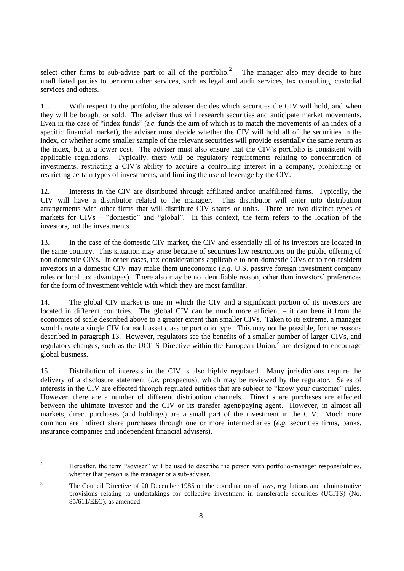select other firms to sub-advise part or all of the portfolio.<sup>2</sup> The manager also may decide to hire unaffiliated parties to perform other services, such as legal and audit services, tax consulting, custodial services and others.

11. With respect to the portfolio, the adviser decides which securities the CIV will hold, and when they will be bought or sold. The adviser thus will research securities and anticipate market movements. Even in the case of "index funds" (*i.e.* funds the aim of which is to match the movements of an index of a specific financial market), the adviser must decide whether the CIV will hold all of the securities in the index, or whether some smaller sample of the relevant securities will provide essentially the same return as the index, but at a lower cost. The adviser must also ensure that the CIV"s portfolio is consistent with applicable regulations. Typically, there will be regulatory requirements relating to concentration of investments, restricting a CIV"s ability to acquire a controlling interest in a company, prohibiting or restricting certain types of investments, and limiting the use of leverage by the CIV.

12. Interests in the CIV are distributed through affiliated and/or unaffiliated firms. Typically, the CIV will have a distributor related to the manager. This distributor will enter into distribution arrangements with other firms that will distribute CIV shares or units. There are two distinct types of markets for CIVs – "domestic" and "global". In this context, the term refers to the location of the investors, not the investments.

13. In the case of the domestic CIV market, the CIV and essentially all of its investors are located in the same country. This situation may arise because of securities law restrictions on the public offering of non-domestic CIVs. In other cases, tax considerations applicable to non-domestic CIVs or to non-resident investors in a domestic CIV may make them uneconomic (*e.g.* U.S. passive foreign investment company rules or local tax advantages). There also may be no identifiable reason, other than investors' preferences for the form of investment vehicle with which they are most familiar.

14. The global CIV market is one in which the CIV and a significant portion of its investors are located in different countries. The global CIV can be much more efficient – it can benefit from the economies of scale described above to a greater extent than smaller CIVs. Taken to its extreme, a manager would create a single CIV for each asset class or portfolio type. This may not be possible, for the reasons described in paragraph 13. However, regulators see the benefits of a smaller number of larger CIVs, and regulatory changes, such as the UCITS Directive within the European Union,<sup>3</sup> are designed to encourage global business.

15. Distribution of interests in the CIV is also highly regulated. Many jurisdictions require the delivery of a disclosure statement (*i.e.* prospectus), which may be reviewed by the regulator. Sales of interests in the CIV are effected through regulated entities that are subject to "know your customer" rules. However, there are a number of different distribution channels. Direct share purchases are effected between the ultimate investor and the CIV or its transfer agent/paying agent. However, in almost all markets, direct purchases (and holdings) are a small part of the investment in the CIV. Much more common are indirect share purchases through one or more intermediaries (*e.g.* securities firms, banks, insurance companies and independent financial advisers).

 $\overline{1}$ <sup>2</sup> Hereafter, the term "adviser" will be used to describe the person with portfolio-manager responsibilities, whether that person is the manager or a sub-adviser.

<sup>&</sup>lt;sup>3</sup> The Council Directive of 20 December 1985 on the coordination of laws, regulations and administrative provisions relating to undertakings for collective investment in transferable securities (UCITS) (No. 85/611/EEC), as amended.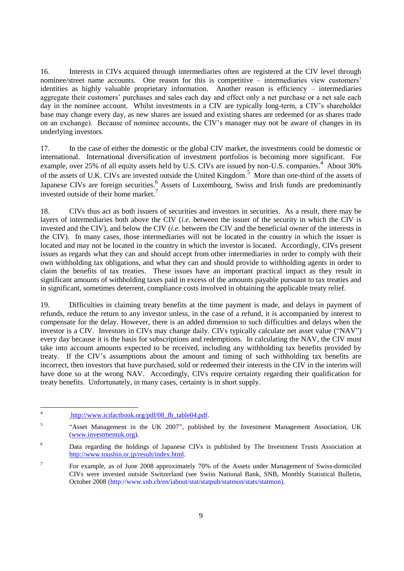16. Interests in CIVs acquired through intermediaries often are registered at the CIV level through nominee/street name accounts. One reason for this is competitive – intermediaries view customers' identities as highly valuable proprietary information. Another reason is efficiency – intermediaries aggregate their customers" purchases and sales each day and effect only a net purchase or a net sale each day in the nominee account. Whilst investments in a CIV are typically long-term, a CIV's shareholder base may change every day, as new shares are issued and existing shares are redeemed (or as shares trade on an exchange). Because of nominee accounts, the CIV"s manager may not be aware of changes in its underlying investors.

17. In the case of either the domestic or the global CIV market, the investments could be domestic or international. International diversification of investment portfolios is becoming more significant. For example, over 25% of all equity assets held by U.S. CIVs are issued by non-U.S. companies.<sup>4</sup> About 30% of the assets of U.K. CIVs are invested outside the United Kingdom.<sup>5</sup> More than one-third of the assets of Japanese CIVs are foreign securities.<sup>6</sup> Assets of Luxembourg, Swiss and Irish funds are predominantly invested outside of their home market.<sup>7</sup>

18. CIVs thus act as both issuers of securities and investors in securities. As a result, there may be layers of intermediaries both above the CIV (*i.e.* between the issuer of the security in which the CIV is invested and the CIV), and below the CIV (*i.e.* between the CIV and the beneficial owner of the interests in the CIV). In many cases, those intermediaries will not be located in the country in which the issuer is located and may not be located in the country in which the investor is located. Accordingly, CIVs present issues as regards what they can and should accept from other intermediaries in order to comply with their own withholding tax obligations, and what they can and should provide to withholding agents in order to claim the benefits of tax treaties. These issues have an important practical impact as they result in significant amounts of withholding taxes paid in excess of the amounts payable pursuant to tax treaties and in significant, sometimes deterrent, compliance costs involved in obtaining the applicable treaty relief.

19. Difficulties in claiming treaty benefits at the time payment is made, and delays in payment of refunds, reduce the return to any investor unless, in the case of a refund, it is accompanied by interest to compensate for the delay. However, there is an added dimension to such difficulties and delays when the investor is a CIV. Investors in CIVs may change daily. CIVs typically calculate net asset value ("NAV") every day because it is the basis for subscriptions and redemptions. In calculating the NAV, the CIV must take into account amounts expected to be received, including any withholding tax benefits provided by treaty. If the CIV"s assumptions about the amount and timing of such withholding tax benefits are incorrect, then investors that have purchased, sold or redeemed their interests in the CIV in the interim will have done so at the wrong NAV. Accordingly, CIVs require certainty regarding their qualification for treaty benefits. Unfortunately, in many cases, certainty is in short supply.

 $\frac{1}{4}$ [http://www.icifactbook.org/pdf/08\\_fb\\_table04.pdf.](http://www.icifactbook.org/pdf/08_fb_table04.pdf)

<sup>5</sup> "Asset Management in the UK 2007", published by the Investment Management Association, UK [\(www.investmentuk.org\)](https://www.oecd.int/exchweb/bin/redir.asp?URL=http://www.investmentuk.org).

<sup>&</sup>lt;sup>6</sup> Data regarding the holdings of Japanese CIVs is published by The Investment Trusts Association at [http://www.toushin.or.jp/result/index.html.](https://www.oecd.int/exchweb/bin/redir.asp?URL=http://www.toushin.or.jp/result/index.html)

<sup>7</sup> For example, as of June 2008 approximately 70% of the Assets under Management of Swiss-domiciled CIVs were invested outside Switzerland (see Swiss National Bank, SNB, Monthly Statistical Bulletin, October 2008 [\(http://www.snb.ch/en/iabout/stat/statpub/statmon/stats/statmon\)](https://www.oecd.int/exchweb/bin/redir.asp?URL=http://www.snb.ch/en/iabout/stat/statpub/statmon/stats/statmon).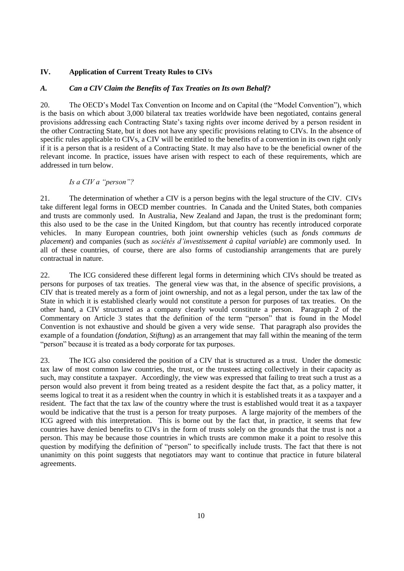# **IV. Application of Current Treaty Rules to CIVs**

# *A. Can a CIV Claim the Benefits of Tax Treaties on Its own Behalf?*

20. The OECD"s Model Tax Convention on Income and on Capital (the "Model Convention"), which is the basis on which about 3,000 bilateral tax treaties worldwide have been negotiated, contains general provisions addressing each Contracting State"s taxing rights over income derived by a person resident in the other Contracting State, but it does not have any specific provisions relating to CIVs. In the absence of specific rules applicable to CIVs, a CIV will be entitled to the benefits of a convention in its own right only if it is a person that is a resident of a Contracting State. It may also have to be the beneficial owner of the relevant income. In practice, issues have arisen with respect to each of these requirements, which are addressed in turn below.

# *Is a CIV a "person"?*

21. The determination of whether a CIV is a person begins with the legal structure of the CIV. CIVs take different legal forms in OECD member countries. In Canada and the United States, both companies and trusts are commonly used. In Australia, New Zealand and Japan, the trust is the predominant form; this also used to be the case in the United Kingdom, but that country has recently introduced corporate vehicles. In many European countries, both joint ownership vehicles (such as *fonds communs de placement*) and companies (such as *sociétés d'investissement à capital variable*) are commonly used. In all of these countries, of course, there are also forms of custodianship arrangements that are purely contractual in nature.

22. The ICG considered these different legal forms in determining which CIVs should be treated as persons for purposes of tax treaties. The general view was that, in the absence of specific provisions, a CIV that is treated merely as a form of joint ownership, and not as a legal person, under the tax law of the State in which it is established clearly would not constitute a person for purposes of tax treaties. On the other hand, a CIV structured as a company clearly would constitute a person. Paragraph 2 of the Commentary on Article 3 states that the definition of the term "person" that is found in the Model Convention is not exhaustive and should be given a very wide sense. That paragraph also provides the example of a foundation (*fondation*, *Stiftung*) as an arrangement that may fall within the meaning of the term "person" because it is treated as a body corporate for tax purposes.

23. The ICG also considered the position of a CIV that is structured as a trust. Under the domestic tax law of most common law countries, the trust, or the trustees acting collectively in their capacity as such, may constitute a taxpayer. Accordingly, the view was expressed that failing to treat such a trust as a person would also prevent it from being treated as a resident despite the fact that, as a policy matter, it seems logical to treat it as a resident when the country in which it is established treats it as a taxpayer and a resident. The fact that the tax law of the country where the trust is established would treat it as a taxpayer would be indicative that the trust is a person for treaty purposes. A large majority of the members of the ICG agreed with this interpretation. This is borne out by the fact that, in practice, it seems that few countries have denied benefits to CIVs in the form of trusts solely on the grounds that the trust is not a person. This may be because those countries in which trusts are common make it a point to resolve this question by modifying the definition of "person" to specifically include trusts. The fact that there is not unanimity on this point suggests that negotiators may want to continue that practice in future bilateral agreements.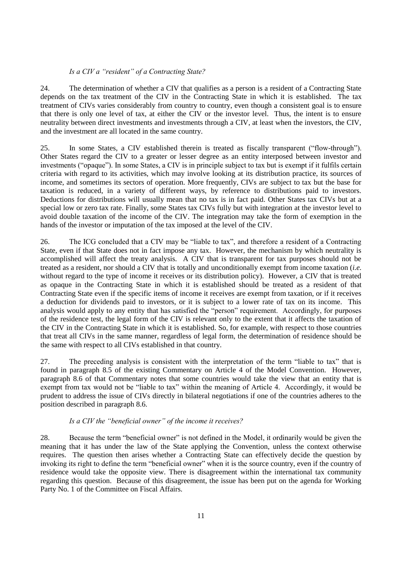#### *Is a CIV a "resident" of a Contracting State?*

24. The determination of whether a CIV that qualifies as a person is a resident of a Contracting State depends on the tax treatment of the CIV in the Contracting State in which it is established. The tax treatment of CIVs varies considerably from country to country, even though a consistent goal is to ensure that there is only one level of tax, at either the CIV or the investor level. Thus, the intent is to ensure neutrality between direct investments and investments through a CIV, at least when the investors, the CIV, and the investment are all located in the same country.

25. In some States, a CIV established therein is treated as fiscally transparent ("flow-through"). Other States regard the CIV to a greater or lesser degree as an entity interposed between investor and investments ("opaque"). In some States, a CIV is in principle subject to tax but is exempt if it fulfils certain criteria with regard to its activities, which may involve looking at its distribution practice, its sources of income, and sometimes its sectors of operation. More frequently, CIVs are subject to tax but the base for taxation is reduced, in a variety of different ways, by reference to distributions paid to investors. Deductions for distributions will usually mean that no tax is in fact paid. Other States tax CIVs but at a special low or zero tax rate. Finally, some States tax CIVs fully but with integration at the investor level to avoid double taxation of the income of the CIV. The integration may take the form of exemption in the hands of the investor or imputation of the tax imposed at the level of the CIV.

26. The ICG concluded that a CIV may be "liable to tax", and therefore a resident of a Contracting State, even if that State does not in fact impose any tax. However, the mechanism by which neutrality is accomplished will affect the treaty analysis. A CIV that is transparent for tax purposes should not be treated as a resident, nor should a CIV that is totally and unconditionally exempt from income taxation (*i.e.* without regard to the type of income it receives or its distribution policy). However, a CIV that is treated as opaque in the Contracting State in which it is established should be treated as a resident of that Contracting State even if the specific items of income it receives are exempt from taxation, or if it receives a deduction for dividends paid to investors, or it is subject to a lower rate of tax on its income. This analysis would apply to any entity that has satisfied the "person" requirement. Accordingly, for purposes of the residence test, the legal form of the CIV is relevant only to the extent that it affects the taxation of the CIV in the Contracting State in which it is established. So, for example, with respect to those countries that treat all CIVs in the same manner, regardless of legal form, the determination of residence should be the same with respect to all CIVs established in that country.

27. The preceding analysis is consistent with the interpretation of the term "liable to tax" that is found in paragraph 8.5 of the existing Commentary on Article 4 of the Model Convention. However, paragraph 8.6 of that Commentary notes that some countries would take the view that an entity that is exempt from tax would not be "liable to tax" within the meaning of Article 4. Accordingly, it would be prudent to address the issue of CIVs directly in bilateral negotiations if one of the countries adheres to the position described in paragraph 8.6.

### *Is a CIV the "beneficial owner" of the income it receives?*

28. Because the term "beneficial owner" is not defined in the Model, it ordinarily would be given the meaning that it has under the law of the State applying the Convention, unless the context otherwise requires. The question then arises whether a Contracting State can effectively decide the question by invoking its right to define the term "beneficial owner" when it is the source country, even if the country of residence would take the opposite view. There is disagreement within the international tax community regarding this question. Because of this disagreement, the issue has been put on the agenda for Working Party No. 1 of the Committee on Fiscal Affairs.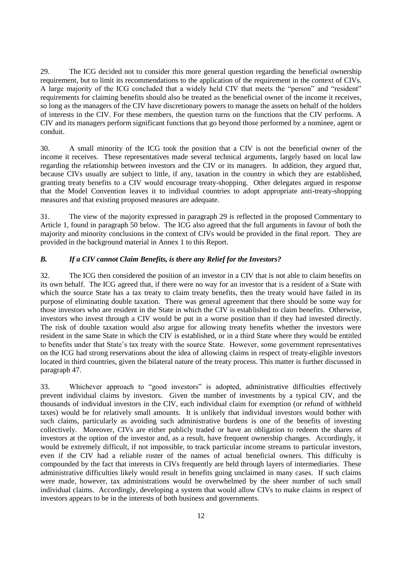29. The ICG decided not to consider this more general question regarding the beneficial ownership requirement, but to limit its recommendations to the application of the requirement in the context of CIVs. A large majority of the ICG concluded that a widely held CIV that meets the "person" and "resident" requirements for claiming benefits should also be treated as the beneficial owner of the income it receives, so long as the managers of the CIV have discretionary powers to manage the assets on behalf of the holders of interests in the CIV. For these members, the question turns on the functions that the CIV performs. A CIV and its managers perform significant functions that go beyond those performed by a nominee, agent or conduit.

30. A small minority of the ICG took the position that a CIV is not the beneficial owner of the income it receives. These representatives made several technical arguments, largely based on local law regarding the relationship between investors and the CIV or its managers. In addition, they argued that, because CIVs usually are subject to little, if any, taxation in the country in which they are established, granting treaty benefits to a CIV would encourage treaty-shopping. Other delegates argued in response that the Model Convention leaves it to individual countries to adopt appropriate anti-treaty-shopping measures and that existing proposed measures are adequate.

31. The view of the majority expressed in paragraph 29 is reflected in the proposed Commentary to Article 1, found in paragraph 50 below. The ICG also agreed that the full arguments in favour of both the majority and minority conclusions in the context of CIVs would be provided in the final report. They are provided in the background material in Annex 1 to this Report.

# *B. If a CIV cannot Claim Benefits, is there any Relief for the Investors?*

32. The ICG then considered the position of an investor in a CIV that is not able to claim benefits on its own behalf. The ICG agreed that, if there were no way for an investor that is a resident of a State with which the source State has a tax treaty to claim treaty benefits, then the treaty would have failed in its purpose of eliminating double taxation. There was general agreement that there should be some way for those investors who are resident in the State in which the CIV is established to claim benefits. Otherwise, investors who invest through a CIV would be put in a worse position than if they had invested directly. The risk of double taxation would also argue for allowing treaty benefits whether the investors were resident in the same State in which the CIV is established, or in a third State where they would be entitled to benefits under that State"s tax treaty with the source State. However, some government representatives on the ICG had strong reservations about the idea of allowing claims in respect of treaty-eligible investors located in third countries, given the bilateral nature of the treaty process. This matter is further discussed in paragraph 47.

33. Whichever approach to "good investors" is adopted, administrative difficulties effectively prevent individual claims by investors. Given the number of investments by a typical CIV, and the thousands of individual investors in the CIV, each individual claim for exemption (or refund of withheld taxes) would be for relatively small amounts. It is unlikely that individual investors would bother with such claims, particularly as avoiding such administrative burdens is one of the benefits of investing collectively. Moreover, CIVs are either publicly traded or have an obligation to redeem the shares of investors at the option of the investor and, as a result, have frequent ownership changes. Accordingly, it would be extremely difficult, if not impossible, to track particular income streams to particular investors, even if the CIV had a reliable roster of the names of actual beneficial owners. This difficulty is compounded by the fact that interests in CIVs frequently are held through layers of intermediaries. These administrative difficulties likely would result in benefits going unclaimed in many cases. If such claims were made, however, tax administrations would be overwhelmed by the sheer number of such small individual claims. Accordingly, developing a system that would allow CIVs to make claims in respect of investors appears to be in the interests of both business and governments.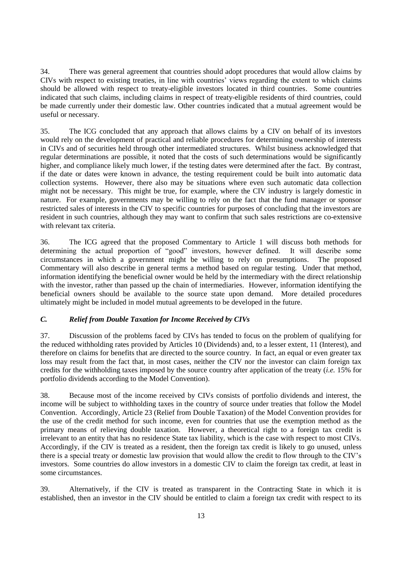34. There was general agreement that countries should adopt procedures that would allow claims by CIVs with respect to existing treaties, in line with countries" views regarding the extent to which claims should be allowed with respect to treaty-eligible investors located in third countries. Some countries indicated that such claims, including claims in respect of treaty-eligible residents of third countries, could be made currently under their domestic law. Other countries indicated that a mutual agreement would be useful or necessary.

35. The ICG concluded that any approach that allows claims by a CIV on behalf of its investors would rely on the development of practical and reliable procedures for determining ownership of interests in CIVs and of securities held through other intermediated structures. Whilst business acknowledged that regular determinations are possible, it noted that the costs of such determinations would be significantly higher, and compliance likely much lower, if the testing dates were determined after the fact. By contrast, if the date or dates were known in advance, the testing requirement could be built into automatic data collection systems. However, there also may be situations where even such automatic data collection might not be necessary. This might be true, for example, where the CIV industry is largely domestic in nature. For example, governments may be willing to rely on the fact that the fund manager or sponsor restricted sales of interests in the CIV to specific countries for purposes of concluding that the investors are resident in such countries, although they may want to confirm that such sales restrictions are co-extensive with relevant tax criteria.

36. The ICG agreed that the proposed Commentary to Article 1 will discuss both methods for determining the actual proportion of "good" investors, however defined. It will describe some circumstances in which a government might be willing to rely on presumptions. The proposed Commentary will also describe in general terms a method based on regular testing. Under that method, information identifying the beneficial owner would be held by the intermediary with the direct relationship with the investor, rather than passed up the chain of intermediaries. However, information identifying the beneficial owners should be available to the source state upon demand. More detailed procedures ultimately might be included in model mutual agreements to be developed in the future.

# *C. Relief from Double Taxation for Income Received by CIVs*

37. Discussion of the problems faced by CIVs has tended to focus on the problem of qualifying for the reduced withholding rates provided by Articles 10 (Dividends) and, to a lesser extent, 11 (Interest), and therefore on claims for benefits that are directed to the source country. In fact, an equal or even greater tax loss may result from the fact that, in most cases, neither the CIV nor the investor can claim foreign tax credits for the withholding taxes imposed by the source country after application of the treaty (*i.e.* 15% for portfolio dividends according to the Model Convention).

38. Because most of the income received by CIVs consists of portfolio dividends and interest, the income will be subject to withholding taxes in the country of source under treaties that follow the Model Convention. Accordingly, Article 23 (Relief from Double Taxation) of the Model Convention provides for the use of the credit method for such income, even for countries that use the exemption method as the primary means of relieving double taxation. However, a theoretical right to a foreign tax credit is irrelevant to an entity that has no residence State tax liability, which is the case with respect to most CIVs. Accordingly, if the CIV is treated as a resident, then the foreign tax credit is likely to go unused, unless there is a special treaty or domestic law provision that would allow the credit to flow through to the CIV"s investors. Some countries do allow investors in a domestic CIV to claim the foreign tax credit, at least in some circumstances.

39. Alternatively, if the CIV is treated as transparent in the Contracting State in which it is established, then an investor in the CIV should be entitled to claim a foreign tax credit with respect to its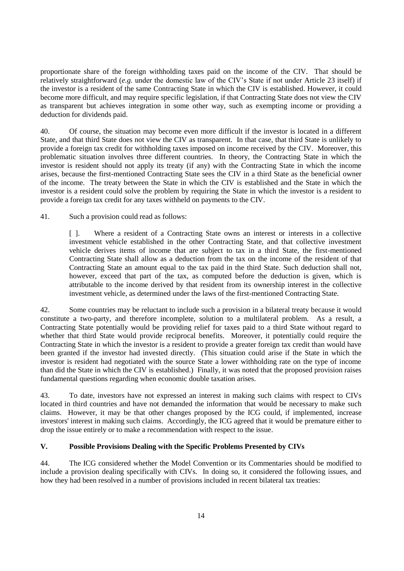proportionate share of the foreign withholding taxes paid on the income of the CIV. That should be relatively straightforward (*e.g.* under the domestic law of the CIV"s State if not under Article 23 itself) if the investor is a resident of the same Contracting State in which the CIV is established. However, it could become more difficult, and may require specific legislation, if that Contracting State does not view the CIV as transparent but achieves integration in some other way, such as exempting income or providing a deduction for dividends paid.

40. Of course, the situation may become even more difficult if the investor is located in a different State, and that third State does not view the CIV as transparent. In that case, that third State is unlikely to provide a foreign tax credit for withholding taxes imposed on income received by the CIV. Moreover, this problematic situation involves three different countries. In theory, the Contracting State in which the investor is resident should not apply its treaty (if any) with the Contracting State in which the income arises, because the first-mentioned Contracting State sees the CIV in a third State as the beneficial owner of the income. The treaty between the State in which the CIV is established and the State in which the investor is a resident could solve the problem by requiring the State in which the investor is a resident to provide a foreign tax credit for any taxes withheld on payments to the CIV.

41. Such a provision could read as follows:

[ ]. Where a resident of a Contracting State owns an interest or interests in a collective investment vehicle established in the other Contracting State, and that collective investment vehicle derives items of income that are subject to tax in a third State, the first-mentioned Contracting State shall allow as a deduction from the tax on the income of the resident of that Contracting State an amount equal to the tax paid in the third State. Such deduction shall not, however, exceed that part of the tax, as computed before the deduction is given, which is attributable to the income derived by that resident from its ownership interest in the collective investment vehicle, as determined under the laws of the first-mentioned Contracting State.

42. Some countries may be reluctant to include such a provision in a bilateral treaty because it would constitute a two-party, and therefore incomplete, solution to a multilateral problem. As a result, a Contracting State potentially would be providing relief for taxes paid to a third State without regard to whether that third State would provide reciprocal benefits. Moreover, it potentially could require the Contracting State in which the investor is a resident to provide a greater foreign tax credit than would have been granted if the investor had invested directly. (This situation could arise if the State in which the investor is resident had negotiated with the source State a lower withholding rate on the type of income than did the State in which the CIV is established.) Finally, it was noted that the proposed provision raises fundamental questions regarding when economic double taxation arises.

43. To date, investors have not expressed an interest in making such claims with respect to CIVs located in third countries and have not demanded the information that would be necessary to make such claims. However, it may be that other changes proposed by the ICG could, if implemented, increase investors' interest in making such claims. Accordingly, the ICG agreed that it would be premature either to drop the issue entirely or to make a recommendation with respect to the issue.

# **V. Possible Provisions Dealing with the Specific Problems Presented by CIVs**

44. The ICG considered whether the Model Convention or its Commentaries should be modified to include a provision dealing specifically with CIVs. In doing so, it considered the following issues, and how they had been resolved in a number of provisions included in recent bilateral tax treaties: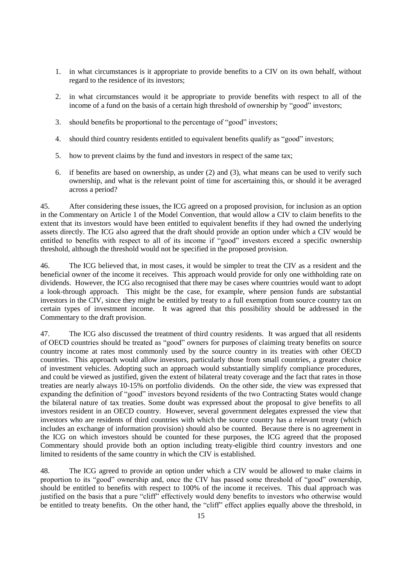- 1. in what circumstances is it appropriate to provide benefits to a CIV on its own behalf, without regard to the residence of its investors;
- 2. in what circumstances would it be appropriate to provide benefits with respect to all of the income of a fund on the basis of a certain high threshold of ownership by "good" investors;
- 3. should benefits be proportional to the percentage of "good" investors;
- 4. should third country residents entitled to equivalent benefits qualify as "good" investors;
- 5. how to prevent claims by the fund and investors in respect of the same tax;
- 6. if benefits are based on ownership, as under (2) and (3), what means can be used to verify such ownership, and what is the relevant point of time for ascertaining this, or should it be averaged across a period?

45. After considering these issues, the ICG agreed on a proposed provision, for inclusion as an option in the Commentary on Article 1 of the Model Convention, that would allow a CIV to claim benefits to the extent that its investors would have been entitled to equivalent benefits if they had owned the underlying assets directly. The ICG also agreed that the draft should provide an option under which a CIV would be entitled to benefits with respect to all of its income if "good" investors exceed a specific ownership threshold, although the threshold would not be specified in the proposed provision.

46. The ICG believed that, in most cases, it would be simpler to treat the CIV as a resident and the beneficial owner of the income it receives. This approach would provide for only one withholding rate on dividends. However, the ICG also recognised that there may be cases where countries would want to adopt a look-through approach. This might be the case, for example, where pension funds are substantial investors in the CIV, since they might be entitled by treaty to a full exemption from source country tax on certain types of investment income. It was agreed that this possibility should be addressed in the Commentary to the draft provision.

47. The ICG also discussed the treatment of third country residents. It was argued that all residents of OECD countries should be treated as "good" owners for purposes of claiming treaty benefits on source country income at rates most commonly used by the source country in its treaties with other OECD countries. This approach would allow investors, particularly those from small countries, a greater choice of investment vehicles. Adopting such an approach would substantially simplify compliance procedures, and could be viewed as justified, given the extent of bilateral treaty coverage and the fact that rates in those treaties are nearly always 10-15% on portfolio dividends. On the other side, the view was expressed that expanding the definition of "good" investors beyond residents of the two Contracting States would change the bilateral nature of tax treaties. Some doubt was expressed about the proposal to give benefits to all investors resident in an OECD country. However, several government delegates expressed the view that investors who are residents of third countries with which the source country has a relevant treaty (which includes an exchange of information provision) should also be counted. Because there is no agreement in the ICG on which investors should be counted for these purposes, the ICG agreed that the proposed Commentary should provide both an option including treaty-eligible third country investors and one limited to residents of the same country in which the CIV is established.

48. The ICG agreed to provide an option under which a CIV would be allowed to make claims in proportion to its "good" ownership and, once the CIV has passed some threshold of "good" ownership, should be entitled to benefits with respect to 100% of the income it receives. This dual approach was justified on the basis that a pure "cliff" effectively would deny benefits to investors who otherwise would be entitled to treaty benefits. On the other hand, the "cliff" effect applies equally above the threshold, in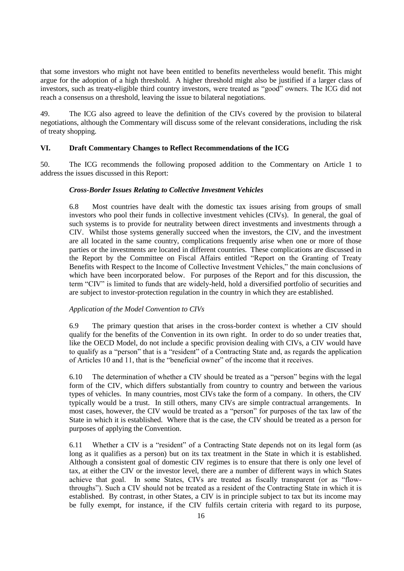that some investors who might not have been entitled to benefits nevertheless would benefit. This might argue for the adoption of a high threshold. A higher threshold might also be justified if a larger class of investors, such as treaty-eligible third country investors, were treated as "good" owners. The ICG did not reach a consensus on a threshold, leaving the issue to bilateral negotiations.

49. The ICG also agreed to leave the definition of the CIVs covered by the provision to bilateral negotiations, although the Commentary will discuss some of the relevant considerations, including the risk of treaty shopping.

# **VI. Draft Commentary Changes to Reflect Recommendations of the ICG**

50. The ICG recommends the following proposed addition to the Commentary on Article 1 to address the issues discussed in this Report:

#### *Cross-Border Issues Relating to Collective Investment Vehicles*

6.8 Most countries have dealt with the domestic tax issues arising from groups of small investors who pool their funds in collective investment vehicles (CIVs). In general, the goal of such systems is to provide for neutrality between direct investments and investments through a CIV. Whilst those systems generally succeed when the investors, the CIV, and the investment are all located in the same country, complications frequently arise when one or more of those parties or the investments are located in different countries. These complications are discussed in the Report by the Committee on Fiscal Affairs entitled "Report on the Granting of Treaty Benefits with Respect to the Income of Collective Investment Vehicles," the main conclusions of which have been incorporated below. For purposes of the Report and for this discussion, the term "CIV" is limited to funds that are widely-held, hold a diversified portfolio of securities and are subject to investor-protection regulation in the country in which they are established.

#### *Application of the Model Convention to CIVs*

6.9 The primary question that arises in the cross-border context is whether a CIV should qualify for the benefits of the Convention in its own right. In order to do so under treaties that, like the OECD Model, do not include a specific provision dealing with CIVs, a CIV would have to qualify as a "person" that is a "resident" of a Contracting State and, as regards the application of Articles 10 and 11, that is the "beneficial owner" of the income that it receives.

6.10 The determination of whether a CIV should be treated as a "person" begins with the legal form of the CIV, which differs substantially from country to country and between the various types of vehicles. In many countries, most CIVs take the form of a company. In others, the CIV typically would be a trust. In still others, many CIVs are simple contractual arrangements. In most cases, however, the CIV would be treated as a "person" for purposes of the tax law of the State in which it is established. Where that is the case, the CIV should be treated as a person for purposes of applying the Convention.

6.11 Whether a CIV is a "resident" of a Contracting State depends not on its legal form (as long as it qualifies as a person) but on its tax treatment in the State in which it is established. Although a consistent goal of domestic CIV regimes is to ensure that there is only one level of tax, at either the CIV or the investor level, there are a number of different ways in which States achieve that goal. In some States, CIVs are treated as fiscally transparent (or as "flowthroughs"). Such a CIV should not be treated as a resident of the Contracting State in which it is established. By contrast, in other States, a CIV is in principle subject to tax but its income may be fully exempt, for instance, if the CIV fulfils certain criteria with regard to its purpose,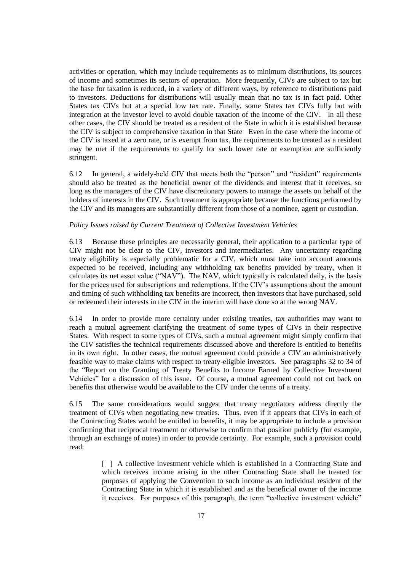activities or operation, which may include requirements as to minimum distributions, its sources of income and sometimes its sectors of operation. More frequently, CIVs are subject to tax but the base for taxation is reduced, in a variety of different ways, by reference to distributions paid to investors. Deductions for distributions will usually mean that no tax is in fact paid. Other States tax CIVs but at a special low tax rate. Finally, some States tax CIVs fully but with integration at the investor level to avoid double taxation of the income of the CIV. In all these other cases, the CIV should be treated as a resident of the State in which it is established because the CIV is subject to comprehensive taxation in that State Even in the case where the income of the CIV is taxed at a zero rate, or is exempt from tax, the requirements to be treated as a resident may be met if the requirements to qualify for such lower rate or exemption are sufficiently stringent.

6.12 In general, a widely-held CIV that meets both the "person" and "resident" requirements should also be treated as the beneficial owner of the dividends and interest that it receives, so long as the managers of the CIV have discretionary powers to manage the assets on behalf of the holders of interests in the CIV. Such treatment is appropriate because the functions performed by the CIV and its managers are substantially different from those of a nominee, agent or custodian.

#### *Policy Issues raised by Current Treatment of Collective Investment Vehicles*

6.13 Because these principles are necessarily general, their application to a particular type of CIV might not be clear to the CIV, investors and intermediaries. Any uncertainty regarding treaty eligibility is especially problematic for a CIV, which must take into account amounts expected to be received, including any withholding tax benefits provided by treaty, when it calculates its net asset value ("NAV"). The NAV, which typically is calculated daily, is the basis for the prices used for subscriptions and redemptions. If the CIV"s assumptions about the amount and timing of such withholding tax benefits are incorrect, then investors that have purchased, sold or redeemed their interests in the CIV in the interim will have done so at the wrong NAV.

6.14 In order to provide more certainty under existing treaties, tax authorities may want to reach a mutual agreement clarifying the treatment of some types of CIVs in their respective States. With respect to some types of CIVs, such a mutual agreement might simply confirm that the CIV satisfies the technical requirements discussed above and therefore is entitled to benefits in its own right. In other cases, the mutual agreement could provide a CIV an administratively feasible way to make claims with respect to treaty-eligible investors. See paragraphs 32 to 34 of the "Report on the Granting of Treaty Benefits to Income Earned by Collective Investment Vehicles" for a discussion of this issue. Of course, a mutual agreement could not cut back on benefits that otherwise would be available to the CIV under the terms of a treaty.

6.15 The same considerations would suggest that treaty negotiators address directly the treatment of CIVs when negotiating new treaties. Thus, even if it appears that CIVs in each of the Contracting States would be entitled to benefits, it may be appropriate to include a provision confirming that reciprocal treatment or otherwise to confirm that position publicly (for example, through an exchange of notes) in order to provide certainty. For example, such a provision could read:

> [ ] A collective investment vehicle which is established in a Contracting State and which receives income arising in the other Contracting State shall be treated for purposes of applying the Convention to such income as an individual resident of the Contracting State in which it is established and as the beneficial owner of the income it receives. For purposes of this paragraph, the term "collective investment vehicle"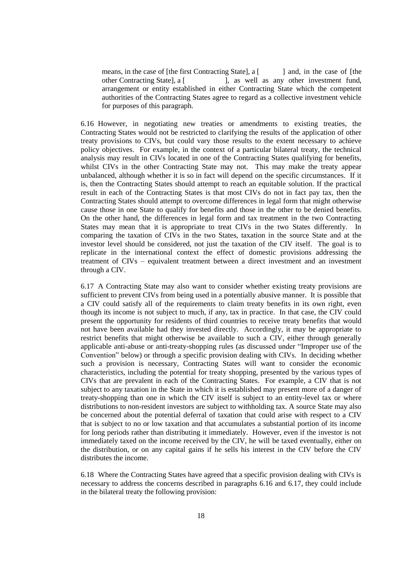means, in the case of [the first Contracting State], a [ ] and, in the case of [the other Contracting Statel, a [ ], as well as any other investment fund, arrangement or entity established in either Contracting State which the competent authorities of the Contracting States agree to regard as a collective investment vehicle for purposes of this paragraph.

6.16 However, in negotiating new treaties or amendments to existing treaties, the Contracting States would not be restricted to clarifying the results of the application of other treaty provisions to CIVs, but could vary those results to the extent necessary to achieve policy objectives. For example, in the context of a particular bilateral treaty, the technical analysis may result in CIVs located in one of the Contracting States qualifying for benefits, whilst CIVs in the other Contracting State may not. This may make the treaty appear unbalanced, although whether it is so in fact will depend on the specific circumstances. If it is, then the Contracting States should attempt to reach an equitable solution. If the practical result in each of the Contracting States is that most CIVs do not in fact pay tax, then the Contracting States should attempt to overcome differences in legal form that might otherwise cause those in one State to qualify for benefits and those in the other to be denied benefits. On the other hand, the differences in legal form and tax treatment in the two Contracting States may mean that it is appropriate to treat CIVs in the two States differently. In comparing the taxation of CIVs in the two States, taxation in the source State and at the investor level should be considered, not just the taxation of the CIV itself. The goal is to replicate in the international context the effect of domestic provisions addressing the treatment of CIVs – equivalent treatment between a direct investment and an investment through a CIV.

6.17 A Contracting State may also want to consider whether existing treaty provisions are sufficient to prevent CIVs from being used in a potentially abusive manner. It is possible that a CIV could satisfy all of the requirements to claim treaty benefits in its own right, even though its income is not subject to much, if any, tax in practice. In that case, the CIV could present the opportunity for residents of third countries to receive treaty benefits that would not have been available had they invested directly. Accordingly, it may be appropriate to restrict benefits that might otherwise be available to such a CIV, either through generally applicable anti-abuse or anti-treaty-shopping rules (as discussed under "Improper use of the Convention" below) or through a specific provision dealing with CIVs. In deciding whether such a provision is necessary, Contracting States will want to consider the economic characteristics, including the potential for treaty shopping, presented by the various types of CIVs that are prevalent in each of the Contracting States. For example, a CIV that is not subject to any taxation in the State in which it is established may present more of a danger of treaty-shopping than one in which the CIV itself is subject to an entity-level tax or where distributions to non-resident investors are subject to withholding tax. A source State may also be concerned about the potential deferral of taxation that could arise with respect to a CIV that is subject to no or low taxation and that accumulates a substantial portion of its income for long periods rather than distributing it immediately. However, even if the investor is not immediately taxed on the income received by the CIV, he will be taxed eventually, either on the distribution, or on any capital gains if he sells his interest in the CIV before the CIV distributes the income.

6.18 Where the Contracting States have agreed that a specific provision dealing with CIVs is necessary to address the concerns described in paragraphs 6.16 and 6.17, they could include in the bilateral treaty the following provision: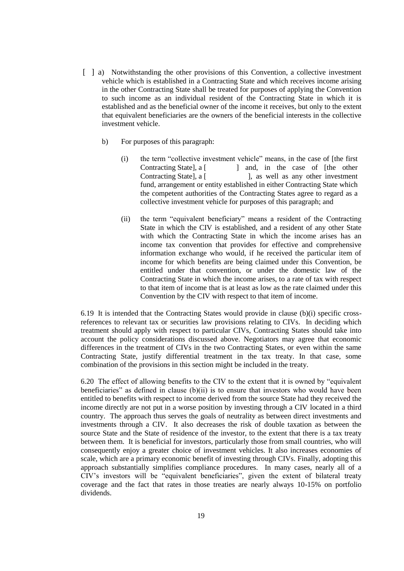- [  $\parallel$  a) Notwithstanding the other provisions of this Convention, a collective investment vehicle which is established in a Contracting State and which receives income arising in the other Contracting State shall be treated for purposes of applying the Convention to such income as an individual resident of the Contracting State in which it is established and as the beneficial owner of the income it receives, but only to the extent that equivalent beneficiaries are the owners of the beneficial interests in the collective investment vehicle.
	- b) For purposes of this paragraph:
		- (i) the term "collective investment vehicle" means, in the case of [the first Contracting State, a [ ] and, in the case of [the other Contracting State, a [ ], as well as any other investment fund, arrangement or entity established in either Contracting State which the competent authorities of the Contracting States agree to regard as a collective investment vehicle for purposes of this paragraph; and
		- (ii) the term "equivalent beneficiary" means a resident of the Contracting State in which the CIV is established, and a resident of any other State with which the Contracting State in which the income arises has an income tax convention that provides for effective and comprehensive information exchange who would, if he received the particular item of income for which benefits are being claimed under this Convention, be entitled under that convention, or under the domestic law of the Contracting State in which the income arises, to a rate of tax with respect to that item of income that is at least as low as the rate claimed under this Convention by the CIV with respect to that item of income.

6.19 It is intended that the Contracting States would provide in clause (b)(i) specific crossreferences to relevant tax or securities law provisions relating to CIVs. In deciding which treatment should apply with respect to particular CIVs, Contracting States should take into account the policy considerations discussed above. Negotiators may agree that economic differences in the treatment of CIVs in the two Contracting States, or even within the same Contracting State, justify differential treatment in the tax treaty. In that case, some combination of the provisions in this section might be included in the treaty.

6.20 The effect of allowing benefits to the CIV to the extent that it is owned by "equivalent beneficiaries" as defined in clause (b)(ii) is to ensure that investors who would have been entitled to benefits with respect to income derived from the source State had they received the income directly are not put in a worse position by investing through a CIV located in a third country. The approach thus serves the goals of neutrality as between direct investments and investments through a CIV. It also decreases the risk of double taxation as between the source State and the State of residence of the investor, to the extent that there is a tax treaty between them. It is beneficial for investors, particularly those from small countries, who will consequently enjoy a greater choice of investment vehicles. It also increases economies of scale, which are a primary economic benefit of investing through CIVs. Finally, adopting this approach substantially simplifies compliance procedures. In many cases, nearly all of a CIV"s investors will be "equivalent beneficiaries", given the extent of bilateral treaty coverage and the fact that rates in those treaties are nearly always 10-15% on portfolio dividends.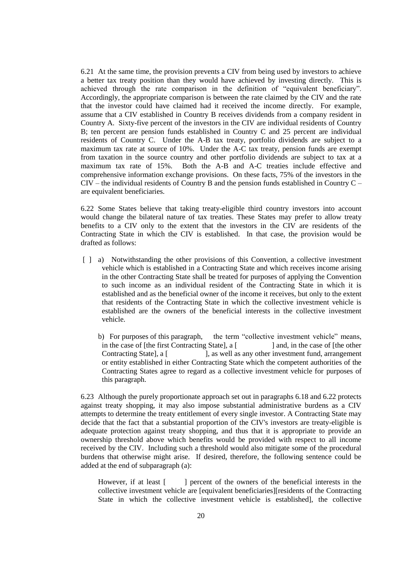6.21 At the same time, the provision prevents a CIV from being used by investors to achieve a better tax treaty position than they would have achieved by investing directly. This is achieved through the rate comparison in the definition of "equivalent beneficiary". Accordingly, the appropriate comparison is between the rate claimed by the CIV and the rate that the investor could have claimed had it received the income directly. For example, assume that a CIV established in Country B receives dividends from a company resident in Country A. Sixty-five percent of the investors in the CIV are individual residents of Country B; ten percent are pension funds established in Country C and 25 percent are individual residents of Country C. Under the A-B tax treaty, portfolio dividends are subject to a maximum tax rate at source of 10%. Under the A-C tax treaty, pension funds are exempt from taxation in the source country and other portfolio dividends are subject to tax at a maximum tax rate of 15%. Both the A-B and A-C treaties include effective and comprehensive information exchange provisions. On these facts, 75% of the investors in the  $CIV -$  the individual residents of Country B and the pension funds established in Country C – are equivalent beneficiaries.

6.22 Some States believe that taking treaty-eligible third country investors into account would change the bilateral nature of tax treaties. These States may prefer to allow treaty benefits to a CIV only to the extent that the investors in the CIV are residents of the Contracting State in which the CIV is established. In that case, the provision would be drafted as follows:

- [ ] a) Notwithstanding the other provisions of this Convention, a collective investment vehicle which is established in a Contracting State and which receives income arising in the other Contracting State shall be treated for purposes of applying the Convention to such income as an individual resident of the Contracting State in which it is established and as the beneficial owner of the income it receives, but only to the extent that residents of the Contracting State in which the collective investment vehicle is established are the owners of the beneficial interests in the collective investment vehicle.
	- b) For purposes of this paragraph, the term "collective investment vehicle" means, in the case of [the first Contracting State], a [ ] and, in the case of [the other Contracting State, a [1,200] as well as any other investment fund, arrangement or entity established in either Contracting State which the competent authorities of the Contracting States agree to regard as a collective investment vehicle for purposes of this paragraph.

6.23 Although the purely proportionate approach set out in paragraphs 6.18 and 6.22 protects against treaty shopping, it may also impose substantial administrative burdens as a CIV attempts to determine the treaty entitlement of every single investor. A Contracting State may decide that the fact that a substantial proportion of the CIV's investors are treaty-eligible is adequate protection against treaty shopping, and thus that it is appropriate to provide an ownership threshold above which benefits would be provided with respect to all income received by the CIV. Including such a threshold would also mitigate some of the procedural burdens that otherwise might arise. If desired, therefore, the following sentence could be added at the end of subparagraph (a):

However, if at least  $\begin{bmatrix} \cdot & \cdot & \cdot \\ \cdot & \cdot & \cdot \\ \cdot & \cdot & \cdot \end{bmatrix}$  percent of the owners of the beneficial interests in the collective investment vehicle are [equivalent beneficiaries][residents of the Contracting State in which the collective investment vehicle is established], the collective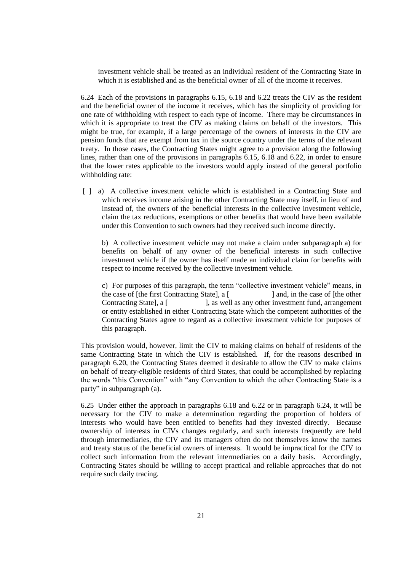investment vehicle shall be treated as an individual resident of the Contracting State in which it is established and as the beneficial owner of all of the income it receives.

6.24 Each of the provisions in paragraphs 6.15, 6.18 and 6.22 treats the CIV as the resident and the beneficial owner of the income it receives, which has the simplicity of providing for one rate of withholding with respect to each type of income. There may be circumstances in which it is appropriate to treat the CIV as making claims on behalf of the investors. This might be true, for example, if a large percentage of the owners of interests in the CIV are pension funds that are exempt from tax in the source country under the terms of the relevant treaty. In those cases, the Contracting States might agree to a provision along the following lines, rather than one of the provisions in paragraphs 6.15, 6.18 and 6.22, in order to ensure that the lower rates applicable to the investors would apply instead of the general portfolio withholding rate:

[ ] a) A collective investment vehicle which is established in a Contracting State and which receives income arising in the other Contracting State may itself, in lieu of and instead of, the owners of the beneficial interests in the collective investment vehicle, claim the tax reductions, exemptions or other benefits that would have been available under this Convention to such owners had they received such income directly.

b) A collective investment vehicle may not make a claim under subparagraph a) for benefits on behalf of any owner of the beneficial interests in such collective investment vehicle if the owner has itself made an individual claim for benefits with respect to income received by the collective investment vehicle.

c) For purposes of this paragraph, the term "collective investment vehicle" means, in the case of [the first Contracting State], a [ ] and, in the case of [the other Contracting State, a [ ], as well as any other investment fund, arrangement or entity established in either Contracting State which the competent authorities of the Contracting States agree to regard as a collective investment vehicle for purposes of this paragraph.

This provision would, however, limit the CIV to making claims on behalf of residents of the same Contracting State in which the CIV is established. If, for the reasons described in paragraph 6.20, the Contracting States deemed it desirable to allow the CIV to make claims on behalf of treaty-eligible residents of third States, that could be accomplished by replacing the words "this Convention" with "any Convention to which the other Contracting State is a party" in subparagraph (a).

6.25 Under either the approach in paragraphs 6.18 and 6.22 or in paragraph 6.24, it will be necessary for the CIV to make a determination regarding the proportion of holders of interests who would have been entitled to benefits had they invested directly. Because ownership of interests in CIVs changes regularly, and such interests frequently are held through intermediaries, the CIV and its managers often do not themselves know the names and treaty status of the beneficial owners of interests. It would be impractical for the CIV to collect such information from the relevant intermediaries on a daily basis. Accordingly, Contracting States should be willing to accept practical and reliable approaches that do not require such daily tracing.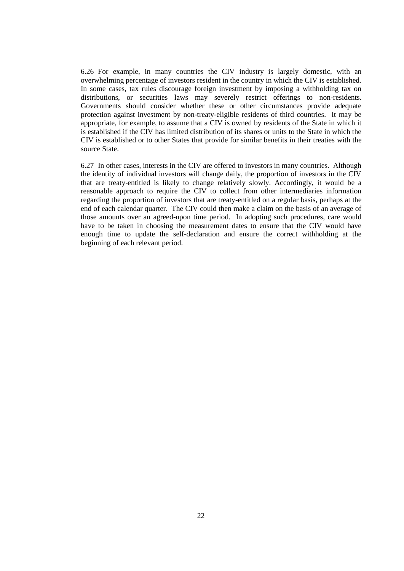6.26 For example, in many countries the CIV industry is largely domestic, with an overwhelming percentage of investors resident in the country in which the CIV is established. In some cases, tax rules discourage foreign investment by imposing a withholding tax on distributions, or securities laws may severely restrict offerings to non-residents. Governments should consider whether these or other circumstances provide adequate protection against investment by non-treaty-eligible residents of third countries. It may be appropriate, for example, to assume that a CIV is owned by residents of the State in which it is established if the CIV has limited distribution of its shares or units to the State in which the CIV is established or to other States that provide for similar benefits in their treaties with the source State.

6.27 In other cases, interests in the CIV are offered to investors in many countries. Although the identity of individual investors will change daily, the proportion of investors in the CIV that are treaty-entitled is likely to change relatively slowly. Accordingly, it would be a reasonable approach to require the CIV to collect from other intermediaries information regarding the proportion of investors that are treaty-entitled on a regular basis, perhaps at the end of each calendar quarter. The CIV could then make a claim on the basis of an average of those amounts over an agreed-upon time period. In adopting such procedures, care would have to be taken in choosing the measurement dates to ensure that the CIV would have enough time to update the self-declaration and ensure the correct withholding at the beginning of each relevant period.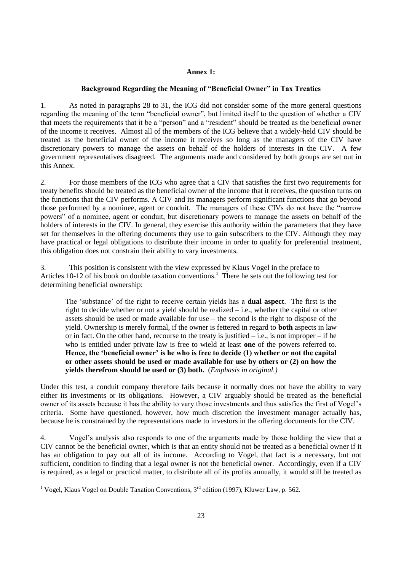# **Annex 1:**

# **Background Regarding the Meaning of "Beneficial Owner" in Tax Treaties**

1. As noted in paragraphs 28 to 31, the ICG did not consider some of the more general questions regarding the meaning of the term "beneficial owner", but limited itself to the question of whether a CIV that meets the requirements that it be a "person" and a "resident" should be treated as the beneficial owner of the income it receives. Almost all of the members of the ICG believe that a widely-held CIV should be treated as the beneficial owner of the income it receives so long as the managers of the CIV have discretionary powers to manage the assets on behalf of the holders of interests in the CIV. A few government representatives disagreed. The arguments made and considered by both groups are set out in this Annex.

2. For those members of the ICG who agree that a CIV that satisfies the first two requirements for treaty benefits should be treated as the beneficial owner of the income that it receives, the question turns on the functions that the CIV performs. A CIV and its managers perform significant functions that go beyond those performed by a nominee, agent or conduit. The managers of these CIVs do not have the "narrow powers" of a nominee, agent or conduit, but discretionary powers to manage the assets on behalf of the holders of interests in the CIV. In general, they exercise this authority within the parameters that they have set for themselves in the offering documents they use to gain subscribers to the CIV. Although they may have practical or legal obligations to distribute their income in order to qualify for preferential treatment, this obligation does not constrain their ability to vary investments.

3. This position is consistent with the view expressed by Klaus Vogel in the preface to Articles 10-12 of his book on double taxation conventions.<sup>1</sup> There he sets out the following test for determining beneficial ownership:

The "substance" of the right to receive certain yields has a **dual aspect**. The first is the right to decide whether or not a yield should be realized – i.e., whether the capital or other assets should be used or made available for use – the second is the right to dispose of the yield. Ownership is merely formal, if the owner is fettered in regard to **both** aspects in law or in fact. On the other hand, recourse to the treaty is justified  $-$  i.e., is not improper – if he who is entitled under private law is free to wield at least **one** of the powers referred to. **Hence, the "beneficial owner" is he who is free to decide (1) whether or not the capital or other assets should be used or made available for use by others or (2) on how the yields therefrom should be used or (3) both.** (*Emphasis in original.)*

Under this test, a conduit company therefore fails because it normally does not have the ability to vary either its investments or its obligations. However, a CIV arguably should be treated as the beneficial owner of its assets because it has the ability to vary those investments and thus satisfies the first of Vogel"s criteria. Some have questioned, however, how much discretion the investment manager actually has, because he is constrained by the representations made to investors in the offering documents for the CIV.

4. Vogel"s analysis also responds to one of the arguments made by those holding the view that a CIV cannot be the beneficial owner, which is that an entity should not be treated as a beneficial owner if it has an obligation to pay out all of its income. According to Vogel, that fact is a necessary, but not sufficient, condition to finding that a legal owner is not the beneficial owner. Accordingly, even if a CIV is required, as a legal or practical matter, to distribute all of its profits annually, it would still be treated as

l <sup>1</sup> Vogel, Klaus Vogel on Double Taxation Conventions,  $3<sup>rd</sup>$  edition (1997), Kluwer Law, p. 562.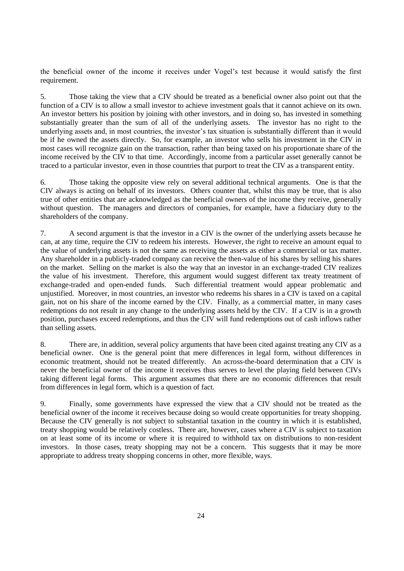the beneficial owner of the income it receives under Vogel"s test because it would satisfy the first requirement.

5. Those taking the view that a CIV should be treated as a beneficial owner also point out that the function of a CIV is to allow a small investor to achieve investment goals that it cannot achieve on its own. An investor betters his position by joining with other investors, and in doing so, has invested in something substantially greater than the sum of all of the underlying assets. The investor has no right to the underlying assets and, in most countries, the investor"s tax situation is substantially different than it would be if he owned the assets directly. So, for example, an investor who sells his investment in the CIV in most cases will recognize gain on the transaction, rather than being taxed on his proportionate share of the income received by the CIV to that time. Accordingly, income from a particular asset generally cannot be traced to a particular investor, even in those countries that purport to treat the CIV as a transparent entity.

6. Those taking the opposite view rely on several additional technical arguments. One is that the CIV always is acting on behalf of its investors. Others counter that, whilst this may be true, that is also true of other entities that are acknowledged as the beneficial owners of the income they receive, generally without question. The managers and directors of companies, for example, have a fiduciary duty to the shareholders of the company.

7. A second argument is that the investor in a CIV is the owner of the underlying assets because he can, at any time, require the CIV to redeem his interests. However, the right to receive an amount equal to the value of underlying assets is not the same as receiving the assets as either a commercial or tax matter. Any shareholder in a publicly-traded company can receive the then-value of his shares by selling his shares on the market. Selling on the market is also the way that an investor in an exchange-traded CIV realizes the value of his investment. Therefore, this argument would suggest different tax treaty treatment of exchange-traded and open-ended funds. Such differential treatment would appear problematic and unjustified. Moreover, in most countries, an investor who redeems his shares in a CIV is taxed on a capital gain, not on his share of the income earned by the CIV. Finally, as a commercial matter, in many cases redemptions do not result in any change to the underlying assets held by the CIV. If a CIV is in a growth position, purchases exceed redemptions, and thus the CIV will fund redemptions out of cash inflows rather than selling assets.

8. There are, in addition, several policy arguments that have been cited against treating any CIV as a beneficial owner. One is the general point that mere differences in legal form, without differences in economic treatment, should not be treated differently. An across-the-board determination that a CIV is never the beneficial owner of the income it receives thus serves to level the playing field between CIVs taking different legal forms. This argument assumes that there are no economic differences that result from differences in legal form, which is a question of fact.

9. Finally, some governments have expressed the view that a CIV should not be treated as the beneficial owner of the income it receives because doing so would create opportunities for treaty shopping. Because the CIV generally is not subject to substantial taxation in the country in which it is established, treaty shopping would be relatively costless. There are, however, cases where a CIV is subject to taxation on at least some of its income or where it is required to withhold tax on distributions to non-resident investors. In those cases, treaty shopping may not be a concern. This suggests that it may be more appropriate to address treaty shopping concerns in other, more flexible, ways.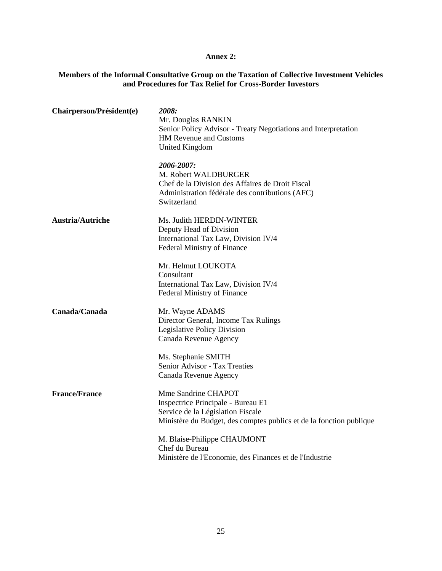# **Annex 2:**

# **Members of the Informal Consultative Group on the Taxation of Collective Investment Vehicles and Procedures for Tax Relief for Cross-Border Investors**

| Chairperson/Président(e) | 2008:<br>Mr. Douglas RANKIN<br>Senior Policy Advisor - Treaty Negotiations and Interpretation<br>HM Revenue and Customs<br><b>United Kingdom</b>                      |  |
|--------------------------|-----------------------------------------------------------------------------------------------------------------------------------------------------------------------|--|
|                          | 2006-2007:<br>M. Robert WALDBURGER<br>Chef de la Division des Affaires de Droit Fiscal<br>Administration fédérale des contributions (AFC)<br>Switzerland              |  |
| <b>Austria/Autriche</b>  | Ms. Judith HERDIN-WINTER<br>Deputy Head of Division<br>International Tax Law, Division IV/4<br>Federal Ministry of Finance                                            |  |
|                          | Mr. Helmut LOUKOTA<br>Consultant<br>International Tax Law, Division IV/4<br>Federal Ministry of Finance                                                               |  |
| Canada/Canada            | Mr. Wayne ADAMS<br>Director General, Income Tax Rulings<br>Legislative Policy Division<br>Canada Revenue Agency                                                       |  |
|                          | Ms. Stephanie SMITH<br>Senior Advisor - Tax Treaties<br>Canada Revenue Agency                                                                                         |  |
| <b>France/France</b>     | Mme Sandrine CHAPOT<br>Inspectrice Principale - Bureau E1<br>Service de la Législation Fiscale<br>Ministère du Budget, des comptes publics et de la fonction publique |  |
|                          | M. Blaise-Philippe CHAUMONT<br>Chef du Bureau<br>Ministère de l'Economie, des Finances et de l'Industrie                                                              |  |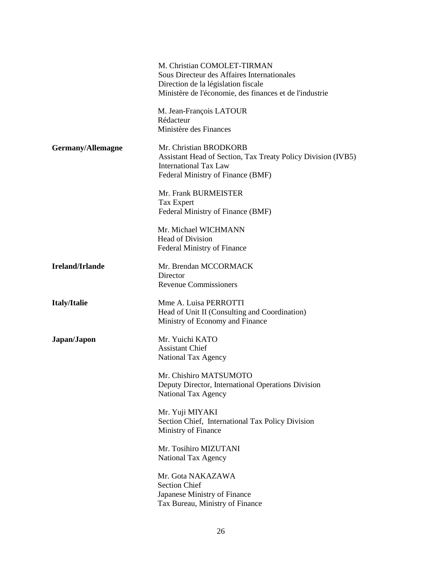|                          | M. Christian COMOLET-TIRMAN                                         |
|--------------------------|---------------------------------------------------------------------|
|                          | Sous Directeur des Affaires Internationales                         |
|                          | Direction de la législation fiscale                                 |
|                          | Ministère de l'économie, des finances et de l'industrie             |
|                          | M. Jean-François LATOUR                                             |
|                          | Rédacteur                                                           |
|                          | Ministère des Finances                                              |
| <b>Germany/Allemagne</b> | Mr. Christian BRODKORB                                              |
|                          | <b>Assistant Head of Section, Tax Treaty Policy Division (IVB5)</b> |
|                          | <b>International Tax Law</b>                                        |
|                          | Federal Ministry of Finance (BMF)                                   |
|                          | Mr. Frank BURMEISTER                                                |
|                          | <b>Tax Expert</b>                                                   |
|                          | Federal Ministry of Finance (BMF)                                   |
|                          | Mr. Michael WICHMANN                                                |
|                          | <b>Head of Division</b>                                             |
|                          | Federal Ministry of Finance                                         |
| Ireland/Irlande          | Mr. Brendan MCCORMACK                                               |
|                          | Director                                                            |
|                          | <b>Revenue Commissioners</b>                                        |
| <b>Italy/Italie</b>      | Mme A. Luisa PERROTTI                                               |
|                          | Head of Unit II (Consulting and Coordination)                       |
|                          | Ministry of Economy and Finance                                     |
|                          |                                                                     |
| Japan/Japon              | Mr. Yuichi KATO                                                     |
|                          | <b>Assistant Chief</b>                                              |
|                          | National Tax Agency                                                 |
|                          | Mr. Chishiro MATSUMOTO                                              |
|                          | Deputy Director, International Operations Division                  |
|                          | National Tax Agency                                                 |
|                          | Mr. Yuji MIYAKI                                                     |
|                          | Section Chief, International Tax Policy Division                    |
|                          | Ministry of Finance                                                 |
|                          | Mr. Tosihiro MIZUTANI                                               |
|                          | National Tax Agency                                                 |
|                          | Mr. Gota NAKAZAWA                                                   |
|                          | <b>Section Chief</b>                                                |
|                          | Japanese Ministry of Finance                                        |
|                          | Tax Bureau, Ministry of Finance                                     |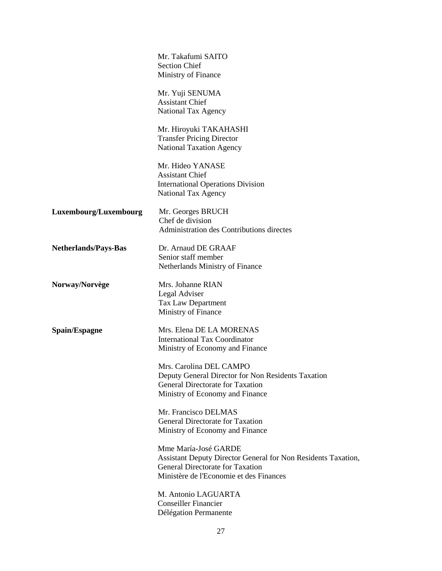|                             | Mr. Takafumi SAITO<br><b>Section Chief</b><br>Ministry of Finance                                                                                                    |
|-----------------------------|----------------------------------------------------------------------------------------------------------------------------------------------------------------------|
|                             | Mr. Yuji SENUMA<br><b>Assistant Chief</b><br>National Tax Agency                                                                                                     |
|                             | Mr. Hiroyuki TAKAHASHI<br><b>Transfer Pricing Director</b><br><b>National Taxation Agency</b>                                                                        |
|                             | Mr. Hideo YANASE<br><b>Assistant Chief</b><br><b>International Operations Division</b><br>National Tax Agency                                                        |
| Luxembourg/Luxembourg       | Mr. Georges BRUCH<br>Chef de division<br>Administration des Contributions directes                                                                                   |
| <b>Netherlands/Pays-Bas</b> | Dr. Arnaud DE GRAAF<br>Senior staff member<br>Netherlands Ministry of Finance                                                                                        |
| Norway/Norvège              | Mrs. Johanne RIAN<br>Legal Adviser<br><b>Tax Law Department</b><br>Ministry of Finance                                                                               |
| <b>Spain/Espagne</b>        | Mrs. Elena DE LA MORENAS<br><b>International Tax Coordinator</b><br>Ministry of Economy and Finance                                                                  |
|                             | Mrs. Carolina DEL CAMPO<br>Deputy General Director for Non Residents Taxation<br>General Directorate for Taxation<br>Ministry of Economy and Finance                 |
|                             | Mr. Francisco DELMAS<br>General Directorate for Taxation<br>Ministry of Economy and Finance                                                                          |
|                             | Mme María-José GARDE<br>Assistant Deputy Director General for Non Residents Taxation,<br>General Directorate for Taxation<br>Ministère de l'Economie et des Finances |
|                             | M. Antonio LAGUARTA<br><b>Conseiller Financier</b><br>Délégation Permanente                                                                                          |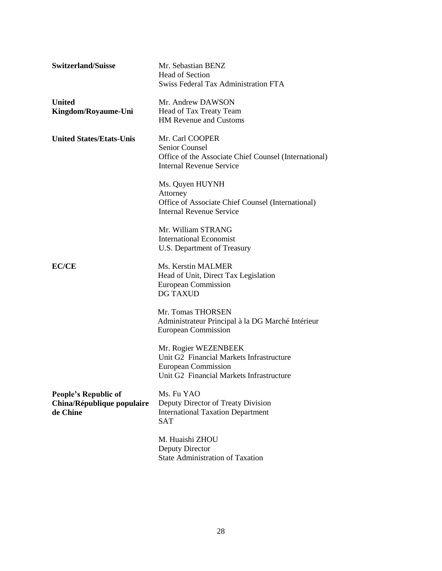| <b>Switzerland/Suisse</b>                                             | Mr. Sebastian BENZ<br><b>Head of Section</b><br><b>Swiss Federal Tax Administration FTA</b>                                                |
|-----------------------------------------------------------------------|--------------------------------------------------------------------------------------------------------------------------------------------|
| <b>United</b><br>Kingdom/Royaume-Uni                                  | Mr. Andrew DAWSON<br>Head of Tax Treaty Team<br><b>HM Revenue and Customs</b>                                                              |
| <b>United States/Etats-Unis</b>                                       | Mr. Carl COOPER<br><b>Senior Counsel</b><br>Office of the Associate Chief Counsel (International)<br><b>Internal Revenue Service</b>       |
|                                                                       | Ms. Quyen HUYNH<br>Attorney<br>Office of Associate Chief Counsel (International)<br><b>Internal Revenue Service</b>                        |
|                                                                       | Mr. William STRANG<br><b>International Economist</b><br>U.S. Department of Treasury                                                        |
| EC/CE                                                                 | Ms. Kerstin MALMER<br>Head of Unit, Direct Tax Legislation<br>European Commission<br><b>DG TAXUD</b>                                       |
|                                                                       | Mr. Tomas THORSEN<br>Administrateur Principal à la DG Marché Intérieur<br>European Commission                                              |
|                                                                       | Mr. Rogier WEZENBEEK<br>Unit G2 Financial Markets Infrastructure<br><b>European Commission</b><br>Unit G2 Financial Markets Infrastructure |
| <b>People's Republic of</b><br>China/République populaire<br>de Chine | Ms. Fu YAO<br>Deputy Director of Treaty Division<br><b>International Taxation Department</b><br><b>SAT</b>                                 |
|                                                                       | M. Huaishi ZHOU<br>Deputy Director<br><b>State Administration of Taxation</b>                                                              |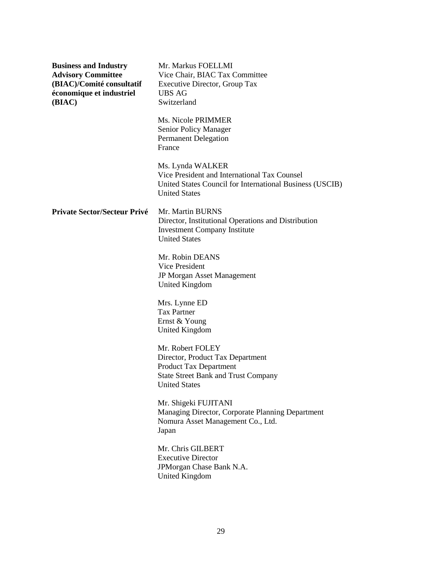| <b>Business and Industry</b><br><b>Advisory Committee</b><br>(BIAC)/Comité consultatif<br>économique et industriel<br>(BIAC) | Mr. Markus FOELLMI<br>Vice Chair, BIAC Tax Committee<br>Executive Director, Group Tax<br><b>UBS AG</b><br>Switzerland                                       |
|------------------------------------------------------------------------------------------------------------------------------|-------------------------------------------------------------------------------------------------------------------------------------------------------------|
|                                                                                                                              | Ms. Nicole PRIMMER<br>Senior Policy Manager<br><b>Permanent Delegation</b><br>France                                                                        |
|                                                                                                                              | Ms. Lynda WALKER<br>Vice President and International Tax Counsel<br>United States Council for International Business (USCIB)<br><b>United States</b>        |
| <b>Private Sector/Secteur Privé</b>                                                                                          | Mr. Martin BURNS<br>Director, Institutional Operations and Distribution<br><b>Investment Company Institute</b><br><b>United States</b>                      |
|                                                                                                                              | Mr. Robin DEANS<br>Vice President<br>JP Morgan Asset Management<br>United Kingdom                                                                           |
|                                                                                                                              | Mrs. Lynne ED<br><b>Tax Partner</b><br>Ernst & Young<br><b>United Kingdom</b>                                                                               |
|                                                                                                                              | Mr. Robert FOLEY<br>Director, Product Tax Department<br><b>Product Tax Department</b><br><b>State Street Bank and Trust Company</b><br><b>United States</b> |
|                                                                                                                              | Mr. Shigeki FUJITANI<br>Managing Director, Corporate Planning Department<br>Nomura Asset Management Co., Ltd.<br>Japan                                      |
|                                                                                                                              | Mr. Chris GILBERT<br><b>Executive Director</b><br>JPMorgan Chase Bank N.A.<br><b>United Kingdom</b>                                                         |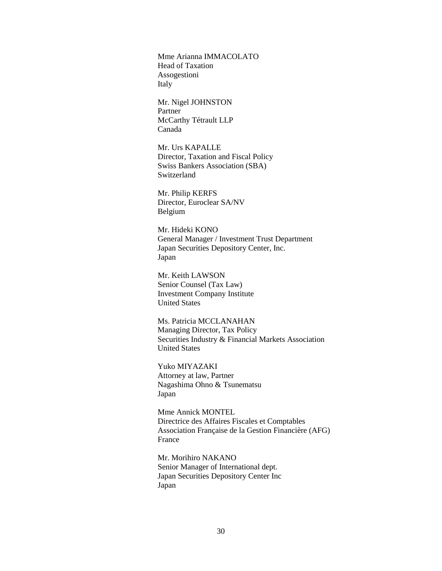Mme Arianna IMMACOLATO Head of Taxation Assogestioni Italy

Mr. Nigel JOHNSTON Partner McCarthy Tétrault LLP Canada

Mr. Urs KAPALLE Director, Taxation and Fiscal Policy Swiss Bankers Association (SBA) Switzerland

Mr. Philip KERFS Director, Euroclear SA/NV Belgium

Mr. Hideki KONO General Manager / Investment Trust Department Japan Securities Depository Center, Inc. Japan

Mr. Keith LAWSON Senior Counsel (Tax Law) Investment Company Institute United States

Ms. Patricia MCCLANAHAN Managing Director, Tax Policy Securities Industry & Financial Markets Association United States

Yuko MIYAZAKI Attorney at law, Partner Nagashima Ohno & Tsunematsu Japan

Mme Annick MONTEL Directrice des Affaires Fiscales et Comptables Association Française de la Gestion Financière (AFG) France

Mr. Morihiro NAKANO Senior Manager of International dept. Japan Securities Depository Center Inc Japan